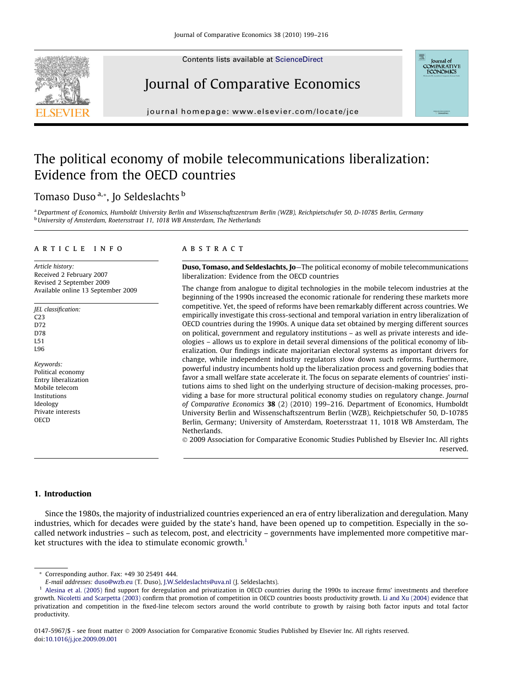Contents lists available at [ScienceDirect](http://www.sciencedirect.com/science/journal/01475967)







journal homepage: [www.elsevier.com/locate/jce](http://www.elsevier.com/locate/jce)

## The political economy of mobile telecommunications liberalization: Evidence from the OECD countries

### Tomaso Duso<sup>a,\*</sup>, Jo Seldeslachts b

<sup>a</sup> Department of Economics, Humboldt University Berlin and Wissenschaftszentrum Berlin (WZB), Reichpietschufer 50, D-10785 Berlin, Germany **b** University of Amsterdam, Roetersstraat 11, 1018 WB Amsterdam, The Netherlands

#### article info

Article history: Received 2 February 2007 Revised 2 September 2009 Available online 13 September 2009

JEL classification: C23 D72 D78 L51 L96

Keywords: Political economy Entry liberalization Mobile telecom Institutions Ideology Private interests **OECD** 

#### **ABSTRACT**

Duso, Tomaso, and Seldeslachts, Jo—The political economy of mobile telecommunications liberalization: Evidence from the OECD countries

The change from analogue to digital technologies in the mobile telecom industries at the beginning of the 1990s increased the economic rationale for rendering these markets more competitive. Yet, the speed of reforms have been remarkably different across countries. We empirically investigate this cross-sectional and temporal variation in entry liberalization of OECD countries during the 1990s. A unique data set obtained by merging different sources on political, government and regulatory institutions – as well as private interests and ideologies – allows us to explore in detail several dimensions of the political economy of liberalization. Our findings indicate majoritarian electoral systems as important drivers for change, while independent industry regulators slow down such reforms. Furthermore, powerful industry incumbents hold up the liberalization process and governing bodies that favor a small welfare state accelerate it. The focus on separate elements of countries' institutions aims to shed light on the underlying structure of decision-making processes, providing a base for more structural political economy studies on regulatory change. Journal of Comparative Economics 38 (2) (2010) 199-216. Department of Economics, Humboldt University Berlin and Wissenschaftszentrum Berlin (WZB), Reichpietschufer 50, D-10785 Berlin, Germany; University of Amsterdam, Roetersstraat 11, 1018 WB Amsterdam, The Netherlands.

© 2009 Association for Comparative Economic Studies Published by Elsevier Inc. All rights reserved.

#### 1. Introduction

Since the 1980s, the majority of industrialized countries experienced an era of entry liberalization and deregulation. Many industries, which for decades were guided by the state's hand, have been opened up to competition. Especially in the socalled network industries – such as telecom, post, and electricity – governments have implemented more competitive market structures with the idea to stimulate economic growth.<sup>1</sup>

<sup>\*</sup> Corresponding author. Fax: +49 30 25491 444.

E-mail addresses: [duso@wzb.eu](mailto:duso@wzb.eu) (T. Duso), [J.W.Seldeslachts@uva.nl](mailto:J.W.Seldeslachts@uva.nl) (J. Seldeslachts).

<sup>&</sup>lt;sup>1</sup> [Alesina et al. \(2005\)](#page--1-0) find support for deregulation and privatization in OECD countries during the 1990s to increase firms' investments and therefore growth. [Nicoletti and Scarpetta \(2003\)](#page--1-0) confirm that promotion of competition in OECD countries boosts productivity growth. [Li and Xu \(2004\)](#page--1-0) evidence that privatization and competition in the fixed-line telecom sectors around the world contribute to growth by raising both factor inputs and total factor productivity.

<sup>0147-5967/\$ -</sup> see front matter © 2009 Association for Comparative Economic Studies Published by Elsevier Inc. All rights reserved. doi:[10.1016/j.jce.2009.09.001](http://dx.doi.org/10.1016/j.jce.2009.09.001)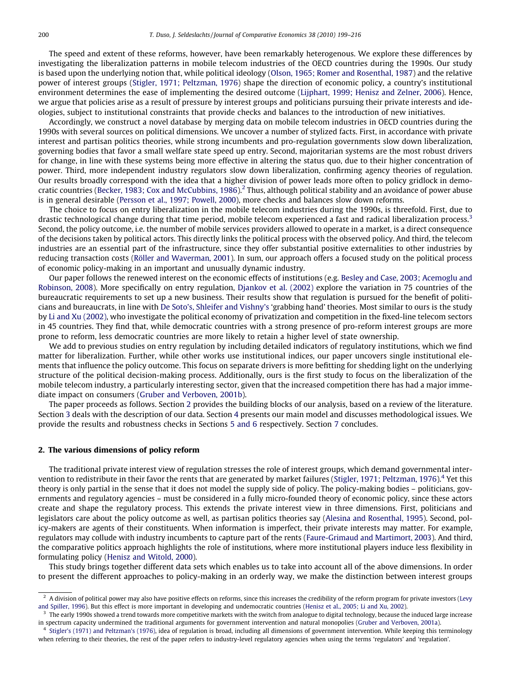The speed and extent of these reforms, however, have been remarkably heterogenous. We explore these differences by investigating the liberalization patterns in mobile telecom industries of the OECD countries during the 1990s. Our study is based upon the underlying notion that, while political ideology ([Olson, 1965; Romer and Rosenthal, 1987](#page--1-0)) and the relative power of interest groups [\(Stigler, 1971; Peltzman, 1976\)](#page--1-0) shape the direction of economic policy, a country's institutional environment determines the ease of implementing the desired outcome ([Lijphart, 1999; Henisz and Zelner, 2006](#page--1-0)). Hence, we argue that policies arise as a result of pressure by interest groups and politicians pursuing their private interests and ideologies, subject to institutional constraints that provide checks and balances to the introduction of new initiatives.

Accordingly, we construct a novel database by merging data on mobile telecom industries in OECD countries during the 1990s with several sources on political dimensions. We uncover a number of stylized facts. First, in accordance with private interest and partisan politics theories, while strong incumbents and pro-regulation governments slow down liberalization, governing bodies that favor a small welfare state speed up entry. Second, majoritarian systems are the most robust drivers for change, in line with these systems being more effective in altering the status quo, due to their higher concentration of power. Third, more independent industry regulators slow down liberalization, confirming agency theories of regulation. Our results broadly correspond with the idea that a higher division of power leads more often to policy gridlock in demo-cratic countries [\(Becker, 1983; Cox and McCubbins, 1986](#page--1-0)).<sup>2</sup> Thus, although political stability and an avoidance of power abuse is in general desirable [\(Persson et al., 1997; Powell, 2000](#page--1-0)), more checks and balances slow down reforms.

The choice to focus on entry liberalization in the mobile telecom industries during the 1990s, is threefold. First, due to drastic technological change during that time period, mobile telecom experienced a fast and radical liberalization process.<sup>3</sup> Second, the policy outcome, i.e. the number of mobile services providers allowed to operate in a market, is a direct consequence of the decisions taken by political actors. This directly links the political process with the observed policy. And third, the telecom industries are an essential part of the infrastructure, since they offer substantial positive externalities to other industries by reducing transaction costs ([Röller and Waverman, 2001\)](#page--1-0). In sum, our approach offers a focused study on the political process of economic policy-making in an important and unusually dynamic industry.

Our paper follows the renewed interest on the economic effects of institutions (e.g. [Besley and Case, 2003; Acemoglu and](#page--1-0) [Robinson, 2008\)](#page--1-0). More specifically on entry regulation, [Djankov et al. \(2002\)](#page--1-0) explore the variation in 75 countries of the bureaucratic requirements to set up a new business. Their results show that regulation is pursued for the benefit of politicians and bureaucrats, in line with [De Soto's, Shleifer and Vishny's](#page--1-0) 'grabbing hand' theories. Most similar to ours is the study by [Li and Xu \(2002\)](#page--1-0), who investigate the political economy of privatization and competition in the fixed-line telecom sectors in 45 countries. They find that, while democratic countries with a strong presence of pro-reform interest groups are more prone to reform, less democratic countries are more likely to retain a higher level of state ownership.

We add to previous studies on entry regulation by including detailed indicators of regulatory institutions, which we find matter for liberalization. Further, while other works use institutional indices, our paper uncovers single institutional elements that influence the policy outcome. This focus on separate drivers is more befitting for shedding light on the underlying structure of the political decision-making process. Additionally, ours is the first study to focus on the liberalization of the mobile telecom industry, a particularly interesting sector, given that the increased competition there has had a major immediate impact on consumers [\(Gruber and Verboven, 2001b](#page--1-0)).

The paper proceeds as follows. Section 2 provides the building blocks of our analysis, based on a review of the literature. Section 3 deals with the description of our data. Section 4 presents our main model and discusses methodological issues. We provide the results and robustness checks in Sections 5 and 6 respectively. Section 7 concludes.

#### 2. The various dimensions of policy reform

The traditional private interest view of regulation stresses the role of interest groups, which demand governmental inter-vention to redistribute in their favor the rents that are generated by market failures ([Stigler, 1971; Peltzman, 1976](#page--1-0)).<sup>4</sup> Yet this theory is only partial in the sense that it does not model the supply side of policy. The policy-making bodies – politicians, governments and regulatory agencies – must be considered in a fully micro-founded theory of economic policy, since these actors create and shape the regulatory process. This extends the private interest view in three dimensions. First, politicians and legislators care about the policy outcome as well, as partisan politics theories say ([Alesina and Rosenthal, 1995\)](#page--1-0). Second, policy-makers are agents of their constituents. When information is imperfect, their private interests may matter. For example, regulators may collude with industry incumbents to capture part of the rents [\(Faure-Grimaud and Martimort, 2003\)](#page--1-0). And third, the comparative politics approach highlights the role of institutions, where more institutional players induce less flexibility in formulating policy [\(Henisz and Witold, 2000\)](#page--1-0).

This study brings together different data sets which enables us to take into account all of the above dimensions. In order to present the different approaches to policy-making in an orderly way, we make the distinction between interest groups

 $<sup>2</sup>$  A division of political power may also have positive effects on reforms, since this increases the credibility of the reform program for private investors ([Levy](#page--1-0)</sup> [and Spiller, 1996\)](#page--1-0). But this effect is more important in developing and undemocratic countries [\(Henisz et al., 2005; Li and Xu, 2002](#page--1-0)).

<sup>3</sup> The early 1990s showed a trend towards more competitive markets with the switch from analogue to digital technology, because the induced large increase in spectrum capacity undermined the traditional arguments for government intervention and natural monopolies ([Gruber and Verboven, 2001a](#page--1-0)).

 $<sup>4</sup>$  [Stigler's \(1971\) and Peltzman's \(1976\),](#page--1-0) idea of regulation is broad, including all dimensions of government intervention. While keeping this terminology</sup> when referring to their theories, the rest of the paper refers to industry-level regulatory agencies when using the terms 'regulators' and 'regulation'.